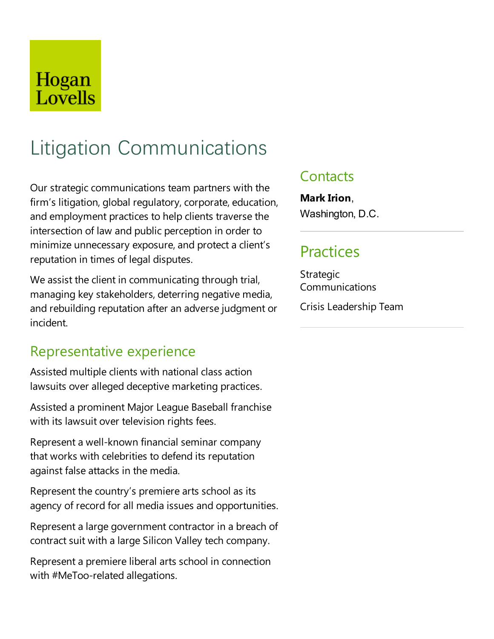# Hogan Lovells

# Litigation Communications

Our strategic communications team partners with the firm's litigation, global regulatory, corporate, education, and employment practices to help clients traverse the intersection of law and public perception in order to minimize unnecessary exposure, and protect a client's reputation in times of legal disputes.

We assist the client in communicating through trial, managing key stakeholders, deterring negative media, and rebuilding reputation after an adverse judgment or incident.

#### Representative experience

Assisted multiple clients with national class action lawsuits over alleged deceptive marketing practices.

Assisted a prominent Major League Baseball franchise with its lawsuit over television rights fees.

Represent a well-known financial seminar company that works with celebrities to defend its reputation against false attacks in the media.

Represent the country's premiere arts school as its agency of record for all media issues and opportunities.

Represent a large government contractor in a breach of contract suit with alarge Silicon Valley tech company.

Represent a premiere liberal arts school in connection with #MeToo-related allegations.

### **Contacts**

**Mark Irion**, Washington, D.C.

## Practices

Strategic Communications

Crisis Leadership Team